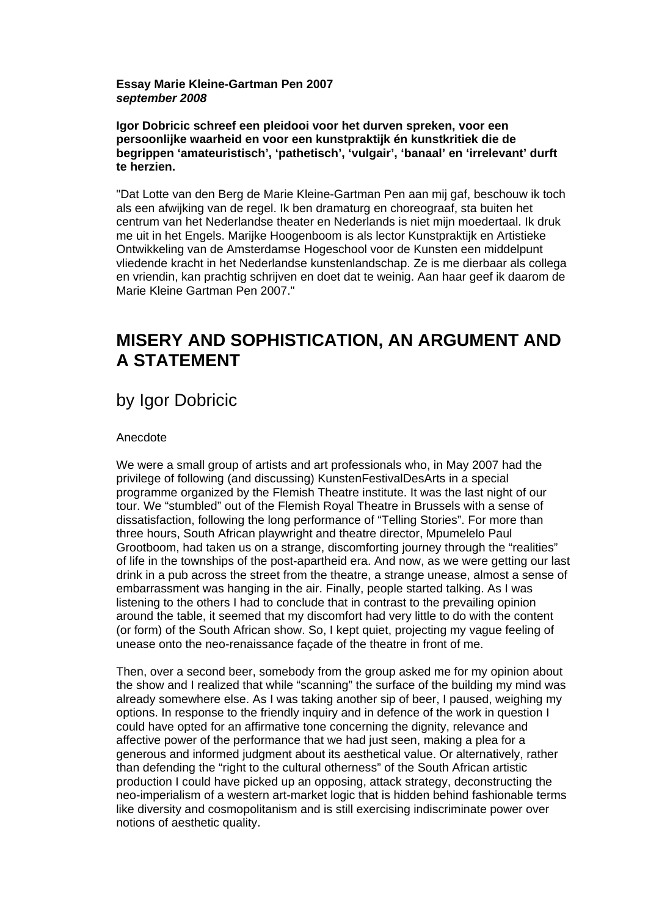### **Essay Marie Kleine-Gartman Pen 2007**  *september 2008*

**Igor Dobricic schreef een pleidooi voor het durven spreken, voor een persoonlijke waarheid en voor een kunstpraktijk én kunstkritiek die de begrippen 'amateuristisch', 'pathetisch', 'vulgair', 'banaal' en 'irrelevant' durft te herzien.**

"Dat Lotte van den Berg de Marie Kleine-Gartman Pen aan mij gaf, beschouw ik toch als een afwijking van de regel. Ik ben dramaturg en choreograaf, sta buiten het centrum van het Nederlandse theater en Nederlands is niet mijn moedertaal. Ik druk me uit in het Engels. Marijke Hoogenboom is als lector Kunstpraktijk en Artistieke Ontwikkeling van de Amsterdamse Hogeschool voor de Kunsten een middelpunt vliedende kracht in het Nederlandse kunstenlandschap. Ze is me dierbaar als collega en vriendin, kan prachtig schrijven en doet dat te weinig. Aan haar geef ik daarom de Marie Kleine Gartman Pen 2007."

# **MISERY AND SOPHISTICATION, AN ARGUMENT AND A STATEMENT**

## by Igor Dobricic

### Anecdote

We were a small group of artists and art professionals who, in May 2007 had the privilege of following (and discussing) KunstenFestivalDesArts in a special programme organized by the Flemish Theatre institute. It was the last night of our tour. We "stumbled" out of the Flemish Royal Theatre in Brussels with a sense of dissatisfaction, following the long performance of "Telling Stories". For more than three hours, South African playwright and theatre director, Mpumelelo Paul Grootboom, had taken us on a strange, discomforting journey through the "realities" of life in the townships of the post-apartheid era. And now, as we were getting our last drink in a pub across the street from the theatre, a strange unease, almost a sense of embarrassment was hanging in the air. Finally, people started talking. As I was listening to the others I had to conclude that in contrast to the prevailing opinion around the table, it seemed that my discomfort had very little to do with the content (or form) of the South African show. So, I kept quiet, projecting my vague feeling of unease onto the neo-renaissance façade of the theatre in front of me.

Then, over a second beer, somebody from the group asked me for my opinion about the show and I realized that while "scanning" the surface of the building my mind was already somewhere else. As I was taking another sip of beer, I paused, weighing my options. In response to the friendly inquiry and in defence of the work in question I could have opted for an affirmative tone concerning the dignity, relevance and affective power of the performance that we had just seen, making a plea for a generous and informed judgment about its aesthetical value. Or alternatively, rather than defending the "right to the cultural otherness" of the South African artistic production I could have picked up an opposing, attack strategy, deconstructing the neo-imperialism of a western art-market logic that is hidden behind fashionable terms like diversity and cosmopolitanism and is still exercising indiscriminate power over notions of aesthetic quality.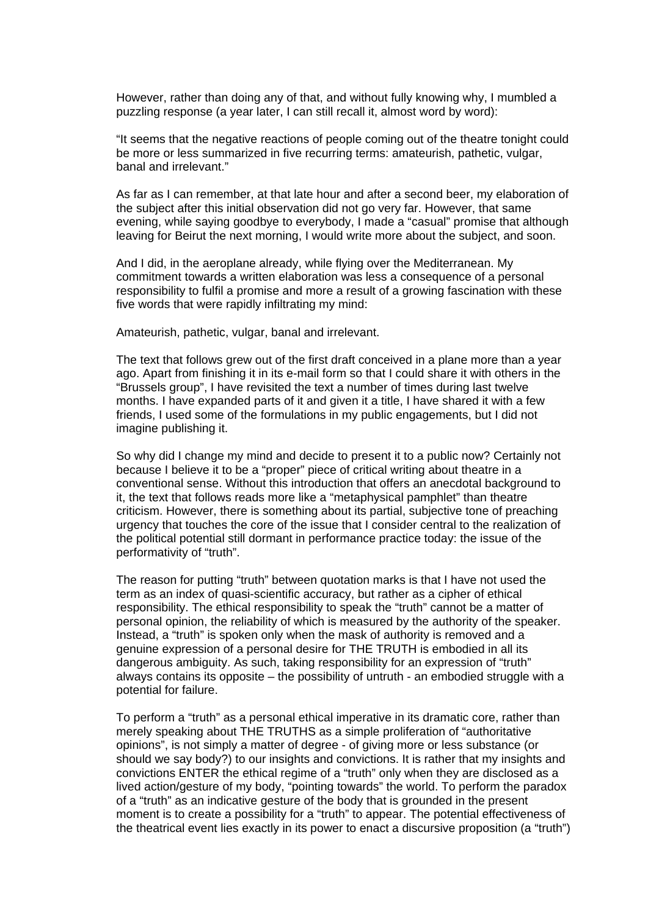However, rather than doing any of that, and without fully knowing why, I mumbled a puzzling response (a year later, I can still recall it, almost word by word):

"It seems that the negative reactions of people coming out of the theatre tonight could be more or less summarized in five recurring terms: amateurish, pathetic, vulgar, banal and irrelevant."

As far as I can remember, at that late hour and after a second beer, my elaboration of the subject after this initial observation did not go very far. However, that same evening, while saying goodbye to everybody, I made a "casual" promise that although leaving for Beirut the next morning, I would write more about the subject, and soon.

And I did, in the aeroplane already, while flying over the Mediterranean. My commitment towards a written elaboration was less a consequence of a personal responsibility to fulfil a promise and more a result of a growing fascination with these five words that were rapidly infiltrating my mind:

Amateurish, pathetic, vulgar, banal and irrelevant.

The text that follows grew out of the first draft conceived in a plane more than a year ago. Apart from finishing it in its e-mail form so that I could share it with others in the "Brussels group", I have revisited the text a number of times during last twelve months. I have expanded parts of it and given it a title, I have shared it with a few friends, I used some of the formulations in my public engagements, but I did not imagine publishing it.

So why did I change my mind and decide to present it to a public now? Certainly not because I believe it to be a "proper" piece of critical writing about theatre in a conventional sense. Without this introduction that offers an anecdotal background to it, the text that follows reads more like a "metaphysical pamphlet" than theatre criticism. However, there is something about its partial, subjective tone of preaching urgency that touches the core of the issue that I consider central to the realization of the political potential still dormant in performance practice today: the issue of the performativity of "truth".

The reason for putting "truth" between quotation marks is that I have not used the term as an index of quasi-scientific accuracy, but rather as a cipher of ethical responsibility. The ethical responsibility to speak the "truth" cannot be a matter of personal opinion, the reliability of which is measured by the authority of the speaker. Instead, a "truth" is spoken only when the mask of authority is removed and a genuine expression of a personal desire for THE TRUTH is embodied in all its dangerous ambiguity. As such, taking responsibility for an expression of "truth" always contains its opposite – the possibility of untruth - an embodied struggle with a potential for failure.

To perform a "truth" as a personal ethical imperative in its dramatic core, rather than merely speaking about THE TRUTHS as a simple proliferation of "authoritative opinions", is not simply a matter of degree - of giving more or less substance (or should we say body?) to our insights and convictions. It is rather that my insights and convictions ENTER the ethical regime of a "truth" only when they are disclosed as a lived action/gesture of my body, "pointing towards" the world. To perform the paradox of a "truth" as an indicative gesture of the body that is grounded in the present moment is to create a possibility for a "truth" to appear. The potential effectiveness of the theatrical event lies exactly in its power to enact a discursive proposition (a "truth")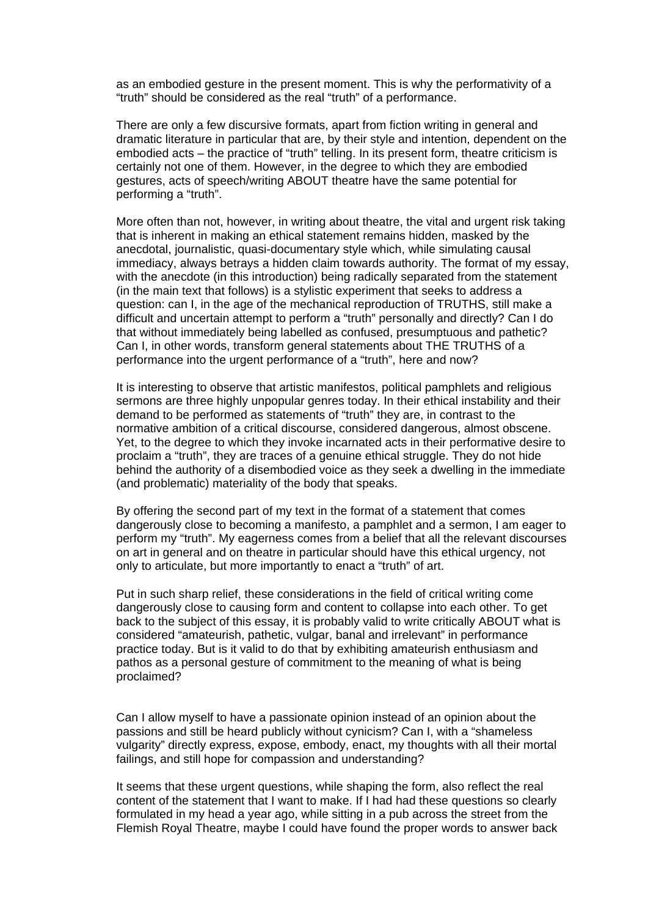as an embodied gesture in the present moment. This is why the performativity of a "truth" should be considered as the real "truth" of a performance.

There are only a few discursive formats, apart from fiction writing in general and dramatic literature in particular that are, by their style and intention, dependent on the embodied acts – the practice of "truth" telling. In its present form, theatre criticism is certainly not one of them. However, in the degree to which they are embodied gestures, acts of speech/writing ABOUT theatre have the same potential for performing a "truth".

More often than not, however, in writing about theatre, the vital and urgent risk taking that is inherent in making an ethical statement remains hidden, masked by the anecdotal, journalistic, quasi-documentary style which, while simulating causal immediacy, always betrays a hidden claim towards authority. The format of my essay, with the anecdote (in this introduction) being radically separated from the statement (in the main text that follows) is a stylistic experiment that seeks to address a question: can I, in the age of the mechanical reproduction of TRUTHS, still make a difficult and uncertain attempt to perform a "truth" personally and directly? Can I do that without immediately being labelled as confused, presumptuous and pathetic? Can I, in other words, transform general statements about THE TRUTHS of a performance into the urgent performance of a "truth", here and now?

It is interesting to observe that artistic manifestos, political pamphlets and religious sermons are three highly unpopular genres today. In their ethical instability and their demand to be performed as statements of "truth" they are, in contrast to the normative ambition of a critical discourse, considered dangerous, almost obscene. Yet, to the degree to which they invoke incarnated acts in their performative desire to proclaim a "truth", they are traces of a genuine ethical struggle. They do not hide behind the authority of a disembodied voice as they seek a dwelling in the immediate (and problematic) materiality of the body that speaks.

By offering the second part of my text in the format of a statement that comes dangerously close to becoming a manifesto, a pamphlet and a sermon, I am eager to perform my "truth". My eagerness comes from a belief that all the relevant discourses on art in general and on theatre in particular should have this ethical urgency, not only to articulate, but more importantly to enact a "truth" of art.

Put in such sharp relief, these considerations in the field of critical writing come dangerously close to causing form and content to collapse into each other. To get back to the subject of this essay, it is probably valid to write critically ABOUT what is considered "amateurish, pathetic, vulgar, banal and irrelevant" in performance practice today. But is it valid to do that by exhibiting amateurish enthusiasm and pathos as a personal gesture of commitment to the meaning of what is being proclaimed?

Can I allow myself to have a passionate opinion instead of an opinion about the passions and still be heard publicly without cynicism? Can I, with a "shameless vulgarity" directly express, expose, embody, enact, my thoughts with all their mortal failings, and still hope for compassion and understanding?

It seems that these urgent questions, while shaping the form, also reflect the real content of the statement that I want to make. If I had had these questions so clearly formulated in my head a year ago, while sitting in a pub across the street from the Flemish Royal Theatre, maybe I could have found the proper words to answer back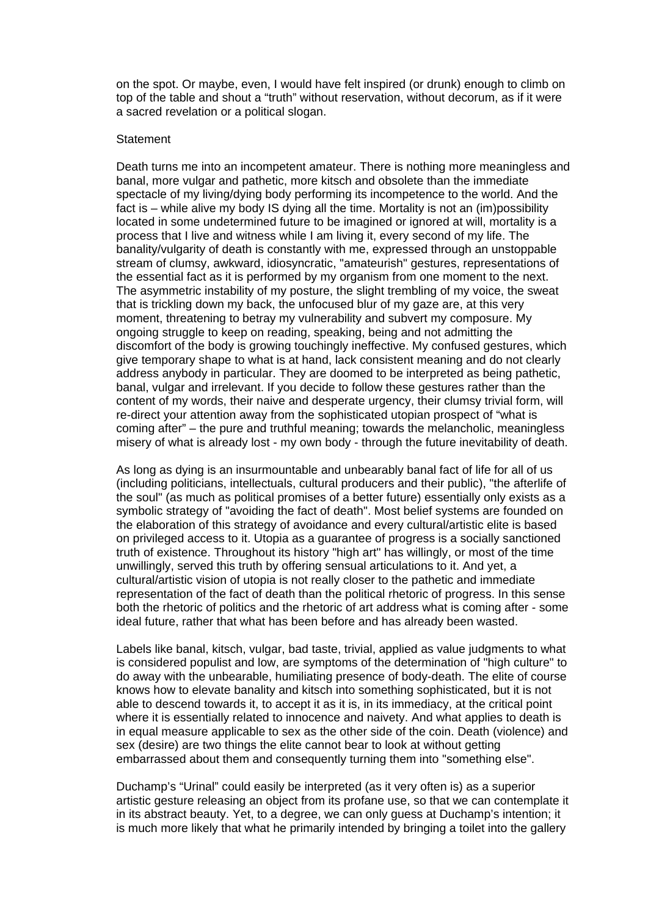on the spot. Or maybe, even, I would have felt inspired (or drunk) enough to climb on top of the table and shout a "truth" without reservation, without decorum, as if it were a sacred revelation or a political slogan.

#### **Statement**

Death turns me into an incompetent amateur. There is nothing more meaningless and banal, more vulgar and pathetic, more kitsch and obsolete than the immediate spectacle of my living/dying body performing its incompetence to the world. And the fact is – while alive my body IS dying all the time. Mortality is not an (im)possibility located in some undetermined future to be imagined or ignored at will, mortality is a process that I live and witness while I am living it, every second of my life. The banality/vulgarity of death is constantly with me, expressed through an unstoppable stream of clumsy, awkward, idiosyncratic, "amateurish" gestures, representations of the essential fact as it is performed by my organism from one moment to the next. The asymmetric instability of my posture, the slight trembling of my voice, the sweat that is trickling down my back, the unfocused blur of my gaze are, at this very moment, threatening to betray my vulnerability and subvert my composure. My ongoing struggle to keep on reading, speaking, being and not admitting the discomfort of the body is growing touchingly ineffective. My confused gestures, which give temporary shape to what is at hand, lack consistent meaning and do not clearly address anybody in particular. They are doomed to be interpreted as being pathetic, banal, vulgar and irrelevant. If you decide to follow these gestures rather than the content of my words, their naive and desperate urgency, their clumsy trivial form, will re-direct your attention away from the sophisticated utopian prospect of "what is coming after" – the pure and truthful meaning; towards the melancholic, meaningless misery of what is already lost - my own body - through the future inevitability of death.

As long as dying is an insurmountable and unbearably banal fact of life for all of us (including politicians, intellectuals, cultural producers and their public), "the afterlife of the soul" (as much as political promises of a better future) essentially only exists as a symbolic strategy of "avoiding the fact of death". Most belief systems are founded on the elaboration of this strategy of avoidance and every cultural/artistic elite is based on privileged access to it. Utopia as a guarantee of progress is a socially sanctioned truth of existence. Throughout its history "high art" has willingly, or most of the time unwillingly, served this truth by offering sensual articulations to it. And yet, a cultural/artistic vision of utopia is not really closer to the pathetic and immediate representation of the fact of death than the political rhetoric of progress. In this sense both the rhetoric of politics and the rhetoric of art address what is coming after - some ideal future, rather that what has been before and has already been wasted.

Labels like banal, kitsch, vulgar, bad taste, trivial, applied as value judgments to what is considered populist and low, are symptoms of the determination of "high culture" to do away with the unbearable, humiliating presence of body-death. The elite of course knows how to elevate banality and kitsch into something sophisticated, but it is not able to descend towards it, to accept it as it is, in its immediacy, at the critical point where it is essentially related to innocence and naivety. And what applies to death is in equal measure applicable to sex as the other side of the coin. Death (violence) and sex (desire) are two things the elite cannot bear to look at without getting embarrassed about them and consequently turning them into "something else".

Duchamp's "Urinal" could easily be interpreted (as it very often is) as a superior artistic gesture releasing an object from its profane use, so that we can contemplate it in its abstract beauty. Yet, to a degree, we can only guess at Duchamp's intention; it is much more likely that what he primarily intended by bringing a toilet into the gallery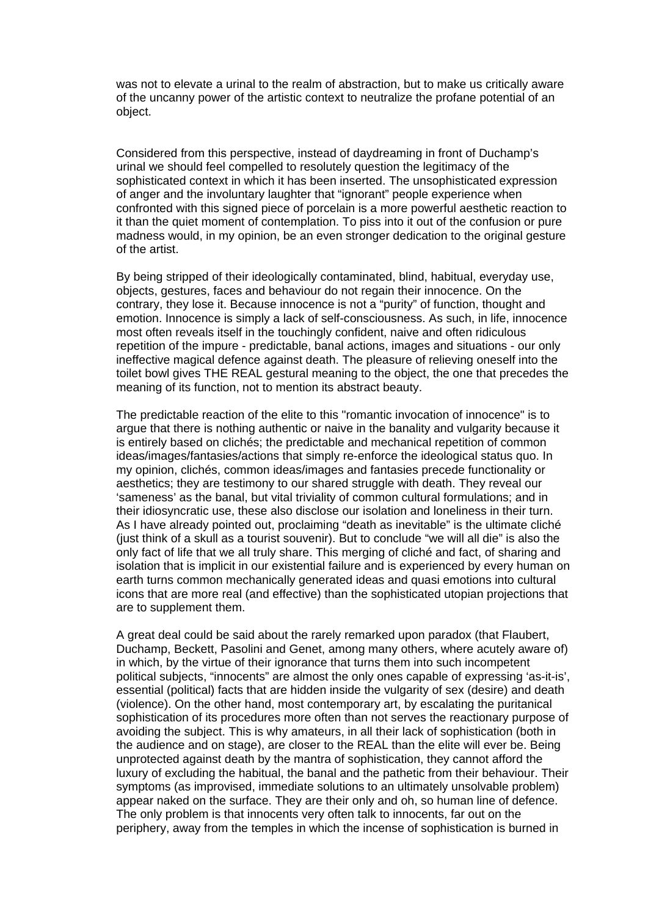was not to elevate a urinal to the realm of abstraction, but to make us critically aware of the uncanny power of the artistic context to neutralize the profane potential of an object.

Considered from this perspective, instead of daydreaming in front of Duchamp's urinal we should feel compelled to resolutely question the legitimacy of the sophisticated context in which it has been inserted. The unsophisticated expression of anger and the involuntary laughter that "ignorant" people experience when confronted with this signed piece of porcelain is a more powerful aesthetic reaction to it than the quiet moment of contemplation. To piss into it out of the confusion or pure madness would, in my opinion, be an even stronger dedication to the original gesture of the artist.

By being stripped of their ideologically contaminated, blind, habitual, everyday use, objects, gestures, faces and behaviour do not regain their innocence. On the contrary, they lose it. Because innocence is not a "purity" of function, thought and emotion. Innocence is simply a lack of self-consciousness. As such, in life, innocence most often reveals itself in the touchingly confident, naive and often ridiculous repetition of the impure - predictable, banal actions, images and situations - our only ineffective magical defence against death. The pleasure of relieving oneself into the toilet bowl gives THE REAL gestural meaning to the object, the one that precedes the meaning of its function, not to mention its abstract beauty.

The predictable reaction of the elite to this "romantic invocation of innocence" is to argue that there is nothing authentic or naive in the banality and vulgarity because it is entirely based on clichés; the predictable and mechanical repetition of common ideas/images/fantasies/actions that simply re-enforce the ideological status quo. In my opinion, clichés, common ideas/images and fantasies precede functionality or aesthetics; they are testimony to our shared struggle with death. They reveal our 'sameness' as the banal, but vital triviality of common cultural formulations; and in their idiosyncratic use, these also disclose our isolation and loneliness in their turn. As I have already pointed out, proclaiming "death as inevitable" is the ultimate cliché (just think of a skull as a tourist souvenir). But to conclude "we will all die" is also the only fact of life that we all truly share. This merging of cliché and fact, of sharing and isolation that is implicit in our existential failure and is experienced by every human on earth turns common mechanically generated ideas and quasi emotions into cultural icons that are more real (and effective) than the sophisticated utopian projections that are to supplement them.

A great deal could be said about the rarely remarked upon paradox (that Flaubert, Duchamp, Beckett, Pasolini and Genet, among many others, where acutely aware of) in which, by the virtue of their ignorance that turns them into such incompetent political subjects, "innocents" are almost the only ones capable of expressing 'as-it-is', essential (political) facts that are hidden inside the vulgarity of sex (desire) and death (violence). On the other hand, most contemporary art, by escalating the puritanical sophistication of its procedures more often than not serves the reactionary purpose of avoiding the subject. This is why amateurs, in all their lack of sophistication (both in the audience and on stage), are closer to the REAL than the elite will ever be. Being unprotected against death by the mantra of sophistication, they cannot afford the luxury of excluding the habitual, the banal and the pathetic from their behaviour. Their symptoms (as improvised, immediate solutions to an ultimately unsolvable problem) appear naked on the surface. They are their only and oh, so human line of defence. The only problem is that innocents very often talk to innocents, far out on the periphery, away from the temples in which the incense of sophistication is burned in